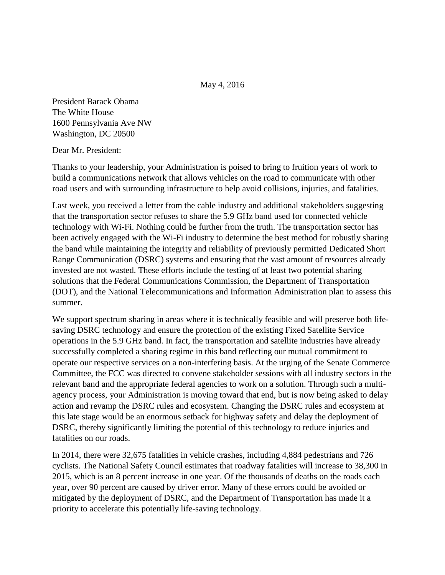May 4, 2016

President Barack Obama The White House 1600 Pennsylvania Ave NW Washington, DC 20500

Dear Mr. President:

Thanks to your leadership, your Administration is poised to bring to fruition years of work to build a communications network that allows vehicles on the road to communicate with other road users and with surrounding infrastructure to help avoid collisions, injuries, and fatalities.

Last week, you received a letter from the cable industry and additional stakeholders suggesting that the transportation sector refuses to share the 5.9 GHz band used for connected vehicle technology with Wi-Fi. Nothing could be further from the truth. The transportation sector has been actively engaged with the Wi-Fi industry to determine the best method for robustly sharing the band while maintaining the integrity and reliability of previously permitted Dedicated Short Range Communication (DSRC) systems and ensuring that the vast amount of resources already invested are not wasted. These efforts include the testing of at least two potential sharing solutions that the Federal Communications Commission, the Department of Transportation (DOT), and the National Telecommunications and Information Administration plan to assess this summer.

We support spectrum sharing in areas where it is technically feasible and will preserve both lifesaving DSRC technology and ensure the protection of the existing Fixed Satellite Service operations in the 5.9 GHz band. In fact, the transportation and satellite industries have already successfully completed a sharing regime in this band reflecting our mutual commitment to operate our respective services on a non-interfering basis. At the urging of the Senate Commerce Committee, the FCC was directed to convene stakeholder sessions with all industry sectors in the relevant band and the appropriate federal agencies to work on a solution. Through such a multiagency process, your Administration is moving toward that end, but is now being asked to delay action and revamp the DSRC rules and ecosystem. Changing the DSRC rules and ecosystem at this late stage would be an enormous setback for highway safety and delay the deployment of DSRC, thereby significantly limiting the potential of this technology to reduce injuries and fatalities on our roads.

In 2014, there were 32,675 fatalities in vehicle crashes, including 4,884 pedestrians and 726 cyclists. The National Safety Council estimates that roadway fatalities will increase to 38,300 in 2015, which is an 8 percent increase in one year. Of the thousands of deaths on the roads each year, over 90 percent are caused by driver error. Many of these errors could be avoided or mitigated by the deployment of DSRC, and the Department of Transportation has made it a priority to accelerate this potentially life-saving technology.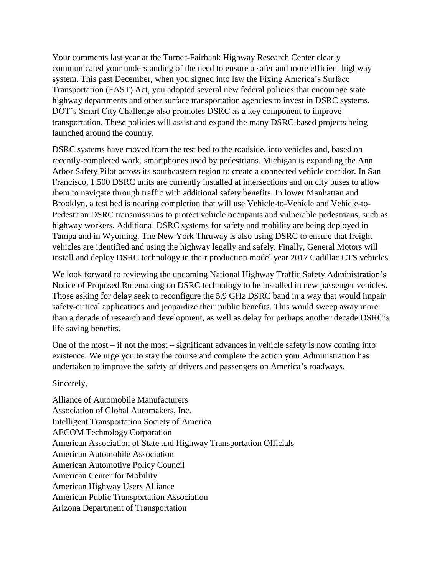Your comments last year at the Turner-Fairbank Highway Research Center clearly communicated your understanding of the need to ensure a safer and more efficient highway system. This past December, when you signed into law the Fixing America's Surface Transportation (FAST) Act, you adopted several new federal policies that encourage state highway departments and other surface transportation agencies to invest in DSRC systems. DOT's Smart City Challenge also promotes DSRC as a key component to improve transportation. These policies will assist and expand the many DSRC-based projects being launched around the country.

DSRC systems have moved from the test bed to the roadside, into vehicles and, based on recently-completed work, smartphones used by pedestrians. Michigan is expanding the Ann Arbor Safety Pilot across its southeastern region to create a connected vehicle corridor. In San Francisco, 1,500 DSRC units are currently installed at intersections and on city buses to allow them to navigate through traffic with additional safety benefits. In lower Manhattan and Brooklyn, a test bed is nearing completion that will use Vehicle-to-Vehicle and Vehicle-to-Pedestrian DSRC transmissions to protect vehicle occupants and vulnerable pedestrians, such as highway workers. Additional DSRC systems for safety and mobility are being deployed in Tampa and in Wyoming. The New York Thruway is also using DSRC to ensure that freight vehicles are identified and using the highway legally and safely. Finally, General Motors will install and deploy DSRC technology in their production model year 2017 Cadillac CTS vehicles.

We look forward to reviewing the upcoming National Highway Traffic Safety Administration's Notice of Proposed Rulemaking on DSRC technology to be installed in new passenger vehicles. Those asking for delay seek to reconfigure the 5.9 GHz DSRC band in a way that would impair safety-critical applications and jeopardize their public benefits. This would sweep away more than a decade of research and development, as well as delay for perhaps another decade DSRC's life saving benefits.

One of the most – if not the most – significant advances in vehicle safety is now coming into existence. We urge you to stay the course and complete the action your Administration has undertaken to improve the safety of drivers and passengers on America's roadways.

Sincerely,

Alliance of Automobile Manufacturers Association of Global Automakers, Inc. Intelligent Transportation Society of America AECOM Technology Corporation American Association of State and Highway Transportation Officials American Automobile Association American Automotive Policy Council American Center for Mobility American Highway Users Alliance American Public Transportation Association Arizona Department of Transportation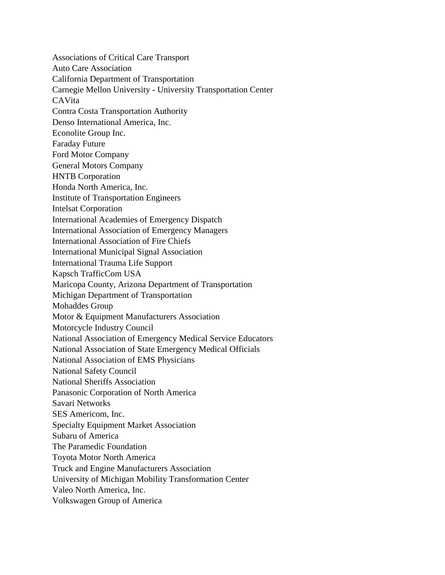Associations of Critical Care Transport Auto Care Association California Department of Transportation Carnegie Mellon University - University Transportation Center CAVita Contra Costa Transportation Authority Denso International America, Inc. Econolite Group Inc. Faraday Future Ford Motor Company General Motors Company HNTB Corporation Honda North America, Inc. Institute of Transportation Engineers Intelsat Corporation International Academies of Emergency Dispatch International Association of Emergency Managers International Association of Fire Chiefs International Municipal Signal Association International Trauma Life Support Kapsch TrafficCom USA Maricopa County, Arizona Department of Transportation Michigan Department of Transportation Mohaddes Group Motor & Equipment Manufacturers Association Motorcycle Industry Council National Association of Emergency Medical Service Educators National Association of State Emergency Medical Officials National Association of EMS Physicians National Safety Council National Sheriffs Association Panasonic Corporation of North America Savari Networks SES Americom, Inc. Specialty Equipment Market Association Subaru of America The Paramedic Foundation Toyota Motor North America Truck and Engine Manufacturers Association University of Michigan Mobility Transformation Center Valeo North America, Inc. Volkswagen Group of America